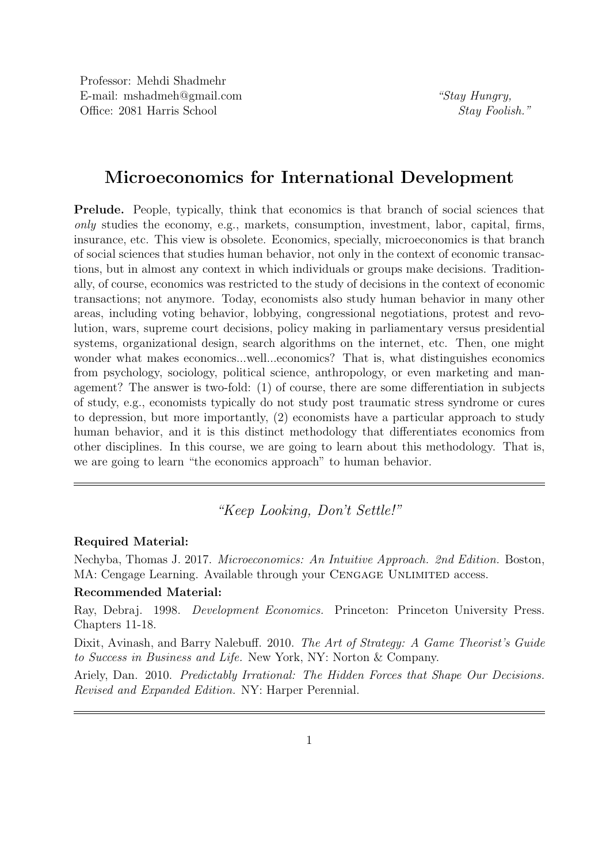## Microeconomics for International Development

Prelude. People, typically, think that economics is that branch of social sciences that only studies the economy, e.g., markets, consumption, investment, labor, capital, firms, insurance, etc. This view is obsolete. Economics, specially, microeconomics is that branch of social sciences that studies human behavior, not only in the context of economic transactions, but in almost any context in which individuals or groups make decisions. Traditionally, of course, economics was restricted to the study of decisions in the context of economic transactions; not anymore. Today, economists also study human behavior in many other areas, including voting behavior, lobbying, congressional negotiations, protest and revolution, wars, supreme court decisions, policy making in parliamentary versus presidential systems, organizational design, search algorithms on the internet, etc. Then, one might wonder what makes economics...well...economics? That is, what distinguishes economics from psychology, sociology, political science, anthropology, or even marketing and management? The answer is two-fold: (1) of course, there are some differentiation in subjects of study, e.g., economists typically do not study post traumatic stress syndrome or cures to depression, but more importantly, (2) economists have a particular approach to study human behavior, and it is this distinct methodology that differentiates economics from other disciplines. In this course, we are going to learn about this methodology. That is, we are going to learn "the economics approach" to human behavior.

"Keep Looking, Don't Settle!"

## Required Material:

Nechyba, Thomas J. 2017. Microeconomics: An Intuitive Approach. 2nd Edition. Boston, MA: Cengage Learning. Available through your CENGAGE UNLIMITED access.

## Recommended Material:

Ray, Debraj. 1998. Development Economics. Princeton: Princeton University Press. Chapters 11-18.

Dixit, Avinash, and Barry Nalebuff. 2010. The Art of Strategy: A Game Theorist's Guide to Success in Business and Life. New York, NY: Norton & Company.

Ariely, Dan. 2010. *Predictably Irrational: The Hidden Forces that Shape Our Decisions.* Revised and Expanded Edition. NY: Harper Perennial.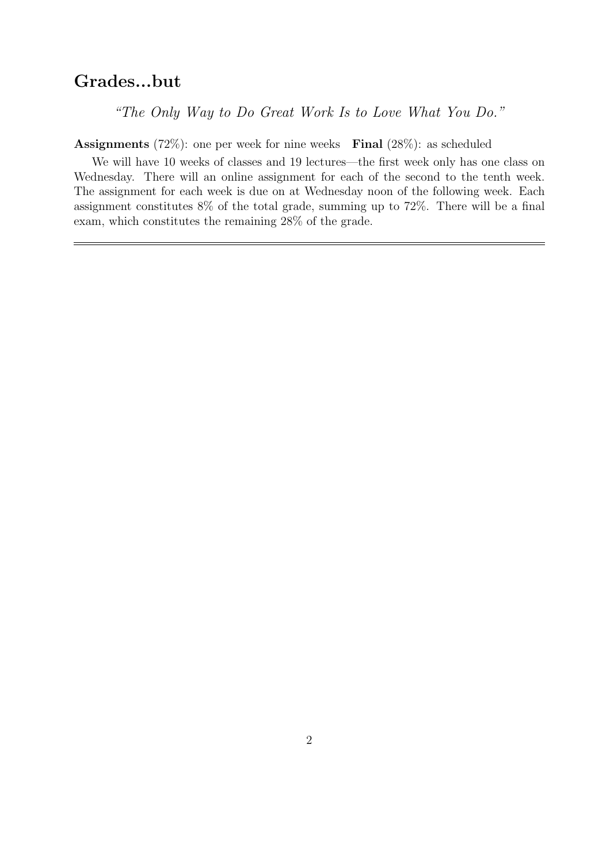## Grades...but

"The Only Way to Do Great Work Is to Love What You Do."

**Assignments** (72%): one per week for nine weeks **Final** (28%): as scheduled

We will have 10 weeks of classes and 19 lectures—the first week only has one class on Wednesday. There will an online assignment for each of the second to the tenth week. The assignment for each week is due on at Wednesday noon of the following week. Each assignment constitutes 8% of the total grade, summing up to 72%. There will be a final exam, which constitutes the remaining 28% of the grade.